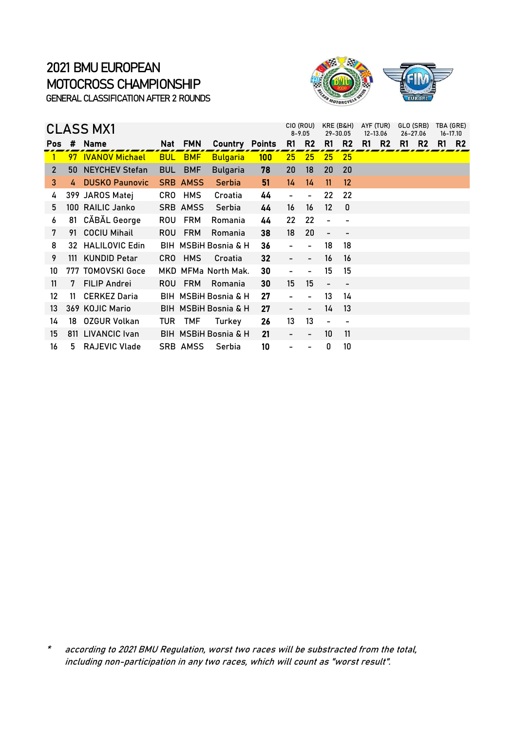

|                |    | <b>CLASS MX1</b>      |            |                 |                                 | CIO (ROU)<br>$8 - 9.05$ | KRE (B&H)<br>29-30.05        |                              | AYF (TUR)<br>12-13.06        |                          | GLO (SRB)<br>26-27.06 |                |    | TBA (GRE)<br>16-17.10 |    |                |
|----------------|----|-----------------------|------------|-----------------|---------------------------------|-------------------------|------------------------------|------------------------------|------------------------------|--------------------------|-----------------------|----------------|----|-----------------------|----|----------------|
| Pos:           |    | # Name                |            | Nat FMN         | <b>Country Points</b>           |                         | R1                           | R <sub>2</sub>               | R1                           | R <sub>2</sub>           | R1                    | R <sub>2</sub> | R1 | R <sub>2</sub>        | R1 | R <sub>2</sub> |
|                |    | 97 IVANOV Michael     |            | <b>BUL BMF</b>  | <b>Bulgaria</b>                 | $100 \,$                | 25                           | 25                           | 25                           | 25                       |                       |                |    |                       |    |                |
| $\overline{2}$ | 50 | <b>NEYCHEV Stefan</b> | <b>BUL</b> | <b>BMF</b>      | <b>Bulgaria</b>                 | 78                      | 20                           | 18                           | 20                           | 20                       |                       |                |    |                       |    |                |
| 3              | 4  | <b>DUSKO Paunovic</b> |            | <b>SRB AMSS</b> | <b>Serbia</b>                   | 51                      | 14                           | 14                           | 11                           | 12                       |                       |                |    |                       |    |                |
| 4              |    | 399 JAROS Matej       |            | CRO HMS         | Croatia                         | 44                      |                              |                              | 22                           | 22                       |                       |                |    |                       |    |                |
| 5              |    | 100 RAILIC Janko      |            | <b>SRB AMSS</b> | Serbia                          | 44                      | 16                           | 16                           | 12 <sup>2</sup>              | 0                        |                       |                |    |                       |    |                |
| 6              |    | 81 CĂBĂL George       | ROU        | <b>FRM</b>      | Romania                         | 44                      | 22                           | 22                           | $\qquad \qquad \blacksquare$ |                          |                       |                |    |                       |    |                |
| 7              |    | 91 COCIU Mihail       | ROU.       | <b>FRM</b>      | Romania                         | 38                      | 18                           | 20                           | $\overline{\phantom{0}}$     |                          |                       |                |    |                       |    |                |
| 8              |    | 32 HALILOVIC Edin     |            |                 | <b>BIH MSBIH Bosnia &amp; H</b> | 36                      | $\overline{\phantom{0}}$     | $\qquad \qquad \blacksquare$ | 18                           | 18                       |                       |                |    |                       |    |                |
| 9              |    | 111 KUNDID Petar      |            | CRO HMS         | Croatia                         | 32                      | $\overline{\phantom{0}}$     | $\overline{\phantom{a}}$     | 16                           | 16                       |                       |                |    |                       |    |                |
| 10             |    | 777 TOMOVSKI Goce     |            |                 | MKD MFMa North Mak.             | 30                      | $\qquad \qquad \blacksquare$ |                              | 15                           | 15                       |                       |                |    |                       |    |                |
| 11             | 7  | <b>FILIP Andrei</b>   | ROU.       | <b>FRM</b>      | Romania                         | 30                      | 15 <sub>15</sub>             | 15                           | $\overline{\phantom{a}}$     | $\overline{\phantom{a}}$ |                       |                |    |                       |    |                |
| 12             | 11 | <b>CERKEZ Daria</b>   |            |                 | BIH MSBIH Bosnia & H            | 27                      | $\overline{\phantom{0}}$     | $\overline{\phantom{a}}$     | 13                           | 14                       |                       |                |    |                       |    |                |
| 13             |    | 369 KOJIC Mario       |            |                 | <b>BIH MSBIH Bosnia &amp; H</b> | 27                      | $\overline{\phantom{0}}$     |                              | 14                           | 13                       |                       |                |    |                       |    |                |
| 14             | 18 | <b>OZGUR Volkan</b>   | TUR        | TMF             | Turkey                          | 26                      | 13                           | 13                           | $\qquad \qquad \blacksquare$ |                          |                       |                |    |                       |    |                |
| 15             |    | 811 LIVANCIC Ivan     |            |                 | <b>BIH MSBIH Bosnia &amp; H</b> | 21                      | $\qquad \qquad \blacksquare$ | -                            | 10                           | 11                       |                       |                |    |                       |    |                |
| 16             | 5. | RAJEVIC Vlade         |            | SRB AMSS        | Serbia                          | 10                      |                              |                              | 0                            | 10                       |                       |                |    |                       |    |                |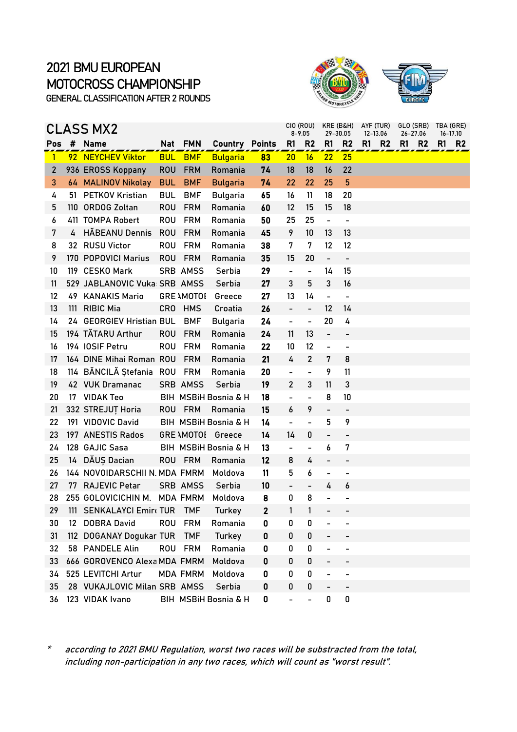



|                |                   | CLASS MX2                     |            |                   |                       |              |                              | CIO (ROU)<br>$8 - 9.05$      | KRE (B&H)<br>29-30.05    |                              | AYF (TUR) | 12-13.06     | GLO (SRB) TBA (GRE)<br>26-27.06 | 16-17.10 |                |
|----------------|-------------------|-------------------------------|------------|-------------------|-----------------------|--------------|------------------------------|------------------------------|--------------------------|------------------------------|-----------|--------------|---------------------------------|----------|----------------|
| Pos            |                   | # Name                        |            | Nat FMN           | <b>Country Points</b> |              | R <sub>1</sub>               | R2                           | R1                       | R <sub>2</sub>               |           | <b>R1 R2</b> | R1<br><b>R2</b>                 | R1       | R <sub>2</sub> |
| $\mathbf{1}$   |                   | 92 NEYCHEV Viktor             | <b>BUL</b> | <b>BMF</b>        | <b>Bulgaria</b>       | 83           | 20                           | 16                           | 22                       | 25                           |           |              |                                 |          |                |
| $\overline{2}$ |                   | 936 EROSS Koppany             | <b>ROU</b> | <b>FRM</b>        | Romania               | 74           | 18                           | 18                           | 16                       | 22                           |           |              |                                 |          |                |
| 3              |                   | 64 MALINOV Nikolay            | <b>BUL</b> | <b>BMF</b>        | <b>Bulgaria</b>       | 74           | 22                           | 22                           | 25                       | 5                            |           |              |                                 |          |                |
| 4              | 51.               | <b>PETKOV Kristian</b>        | <b>BUL</b> | <b>BMF</b>        | Bulgaria              | 65           | 16                           | 11                           | 18                       | 20                           |           |              |                                 |          |                |
| 5              |                   | 110 ORDOG Zoltan              | <b>ROU</b> | <b>FRM</b>        | Romania               | 60           | 12                           | 15                           | 15                       | 18                           |           |              |                                 |          |                |
| 6              |                   | 411 TOMPA Robert              | <b>ROU</b> | <b>FRM</b>        | Romania               | 50           | 25                           | 25                           | $\blacksquare$           | $\blacksquare$               |           |              |                                 |          |                |
| 7              | 4                 | <b>HĂBEANU Dennis</b>         | <b>ROU</b> | <b>FRM</b>        | Romania               | 45           | 9                            | 10                           | 13                       | 13                           |           |              |                                 |          |                |
| 8              |                   | 32 RUSU Victor                | <b>ROU</b> | <b>FRM</b>        | Romania               | 38           | 7                            | 7                            | 12                       | 12                           |           |              |                                 |          |                |
| 9              |                   | 170 POPOVICI Marius           | <b>ROU</b> | <b>FRM</b>        | Romania               | 35           | 15                           | 20                           | $\overline{\phantom{0}}$ | $\overline{\phantom{a}}$     |           |              |                                 |          |                |
| 10             |                   | 119 CESKO Mark                |            | <b>SRB AMSS</b>   | Serbia                | 29           | $\qquad \qquad \blacksquare$ | $\blacksquare$               | 14                       | 15                           |           |              |                                 |          |                |
| 11             |                   | 529 JABLANOVIC Vuka: SRB AMSS |            |                   | Serbia                | 27           | 3                            | 5                            | 3                        | 16                           |           |              |                                 |          |                |
| 12             |                   | 49 KANAKIS Mario              |            | <b>GRE AMOTOL</b> | Greece                | 27           | 13                           | 14                           | $\overline{\phantom{a}}$ | $\overline{\phantom{0}}$     |           |              |                                 |          |                |
| 13             | 111               | <b>RIBIC Mia</b>              | <b>CRO</b> | <b>HMS</b>        | Croatia               | 26           | $\overline{a}$               | $\frac{1}{2}$                | 12                       | 14                           |           |              |                                 |          |                |
| 14             |                   | 24 GEORGIEV Hristian BUL      |            | <b>BMF</b>        | <b>Bulgaria</b>       | 24           | -                            | $\overline{\phantom{0}}$     | 20                       | 4                            |           |              |                                 |          |                |
| 15             |                   | 194 TĂTARU Arthur             | <b>ROU</b> | <b>FRM</b>        | Romania               | 24           | 11                           | 13                           | $\overline{\phantom{a}}$ | $\overline{\phantom{0}}$     |           |              |                                 |          |                |
| 16             |                   | 194 IOSIF Petru               | <b>ROU</b> | <b>FRM</b>        | Romania               | 22           | 10                           | 12                           | $\overline{\phantom{0}}$ | $\overline{\phantom{0}}$     |           |              |                                 |          |                |
| 17             |                   | 164 DINE Mihai Roman ROU      |            | <b>FRM</b>        | Romania               | 21           | 4                            | $\overline{2}$               | 7                        | 8                            |           |              |                                 |          |                |
| 18             |                   | 114 BĂNCILĂ Ștefania ROU      |            | FRM               | Romania               | 20           |                              | $\qquad \qquad \blacksquare$ | 9                        | 11                           |           |              |                                 |          |                |
| 19             |                   | 42 VUK Dramanac               |            | <b>SRB AMSS</b>   | Serbia                | 19           | $\overline{2}$               | 3                            | 11                       | 3                            |           |              |                                 |          |                |
| 20             | 17                | <b>VIDAK Teo</b>              |            |                   | BIH MSBiH Bosnia & H  | 18           | $\overline{\phantom{0}}$     | $\overline{\phantom{a}}$     | 8                        | 10                           |           |              |                                 |          |                |
| 21             |                   | 332 STREJUȚ Horia             |            | ROU FRM           | Romania               | 15           | 6                            | 9                            | $\overline{\phantom{0}}$ | $\qquad \qquad \blacksquare$ |           |              |                                 |          |                |
| 22             |                   | 191 VIDOVIC David             |            |                   | BIH MSBiH Bosnia & H  | 14           | $\overline{\phantom{0}}$     | $\qquad \qquad \blacksquare$ | 5                        | 9                            |           |              |                                 |          |                |
| 23             |                   | 197 ANESTIS Rados             |            |                   | GRE \MOTOI Greece     | 14           | 14                           | 0                            | $\overline{\phantom{0}}$ |                              |           |              |                                 |          |                |
| 24             |                   | 128 GAJIC Sasa                |            |                   | BIH MSBiH Bosnia & H  | 13           | $\qquad \qquad \blacksquare$ | $\qquad \qquad \blacksquare$ | 6                        | 7                            |           |              |                                 |          |                |
| 25             | 14                | DĂUȘ Dacian                   |            | ROU FRM           | Romania               | 12           | 8                            | 4                            | $\overline{\phantom{0}}$ |                              |           |              |                                 |          |                |
| 26             |                   | 144 NOVOIDARSCHII N. MDA FMRM |            |                   | Moldova               | 11           | 5                            | 6                            | $\overline{\phantom{0}}$ | $\overline{a}$               |           |              |                                 |          |                |
| 27             | 77                | <b>RAJEVIC Petar</b>          |            | SRB AMSS          | Serbia                | 10           | $\overline{\phantom{0}}$     | $\qquad \qquad \blacksquare$ | 4                        | 6                            |           |              |                                 |          |                |
| 28             |                   | 255 GOLOVICICHIN M. MDA FMRM  |            |                   | Moldova               | 8            | 0                            | 8                            |                          |                              |           |              |                                 |          |                |
| 29             |                   | 111 SENKALAYCI Emir(TUR TMF   |            |                   | Turkey                | $\mathbf{2}$ | 1                            | 1                            | $\sim$                   |                              |           |              |                                 |          |                |
| 30             | $12 \overline{ }$ | <b>DOBRA David</b>            |            | ROU FRM           | Romania               | 0            | 0                            | 0                            |                          |                              |           |              |                                 |          |                |
| 31             | 112               | <b>DOGANAY Dogukar TUR</b>    |            | <b>TMF</b>        | Turkey                | 0            | 0                            | 0                            |                          |                              |           |              |                                 |          |                |
| 32             |                   | 58 PANDELE Alin               | <b>ROU</b> | <b>FRM</b>        | Romania               | 0            | 0                            | 0                            |                          |                              |           |              |                                 |          |                |
| 33             |                   | 666 GOROVENCO Alexa MDA FMRM  |            |                   | Moldova               | 0            | 0                            | $\pmb{0}$                    |                          |                              |           |              |                                 |          |                |
| 34             |                   | 525 LEVITCHI Artur            |            | <b>MDA FMRM</b>   | Moldova               | 0            | 0                            | 0                            | -                        |                              |           |              |                                 |          |                |
| 35             |                   | 28 VUKAJLOVIC Milan SRB AMSS  |            |                   | Serbia                | 0            | 0                            | 0                            |                          |                              |           |              |                                 |          |                |
| 36             |                   | 123 VIDAK Ivano               |            |                   | BIH MSBiH Bosnia & H  | 0            | $\overline{\phantom{0}}$     | -                            | 0                        | 0                            |           |              |                                 |          |                |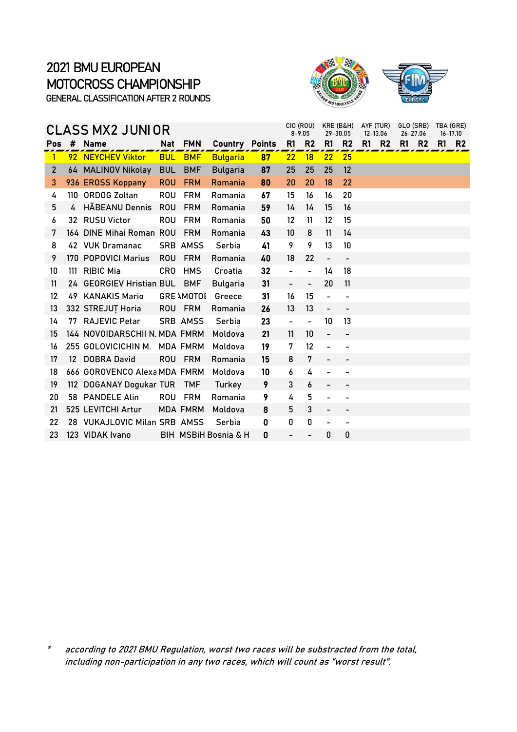

#### Pos # Name Mat FMN Country Points R1 R2 R1 R2 R1 R2 R1 R2 R1 R2 1 92 NEYCHEV Viktor BUL BMF Bulgaria 87 22 18 22 25 2 64 MALINOV Nikolay BUL BMF Bulgaria 87 25 25 25 12 3 936 EROSS Koppany ROU FRM Romania 80 20 20 18 22 4 110 ORDOG Zoltan ROU FRM Romania 67 15 16 16 20 5 4 HĂBEANU Dennis ROU FRM Romania 59 14 14 15 16 6 32 RUSU Victor ROU FRM Romania 50 12 11 12 15 7 164 DINE Mihai Roman ROU FRM Romania 43 10 8 11 14 8 42 VUK Dramanac SRB AMSS Serbia 41 9 9 13 10 9 170 POPOVICI Marius ROU FRM Romania 40 18 22 -10 111 RIBIC Mia CRO HMS Croatia 32 - - 14 18 11 24 GEORGIEV Hristian BUL BMF Bulgaria 31 - - 20 11 12 49 KANAKIS Mario GREAMOTOE Greece 31 16 15 - - 13 332 STREJUȚ Horia ROU FRM Romania 26 13 13 - - 14 77 RAJEVIC Petar SRB AMSS Serbia 23 - - 10 13 15 144 NOVOIDARSCHII N. MDA FMRM Moldova 21 11 10 - - 16 255 GOLOVICICHIN M. MDA FMRM Moldova 19 7 12 - -17 12 DOBRA David ROU FRM Romania 15 8 7 - - 18 666 GOROVENCO Alexa MDA FMRM Moldova 10 6 4 - -19 112 DOGANAY Dogukar TUR TMF Turkey 9 3 6 - -20 58 PANDELE Alin ROU FRM Romania 9 4 5 - -21 525 LEVITCHI Artur MDA FMRM Moldova 8 5 3 22 28 VUKAJLOVIC Milan SRB AMSS Serbia 0 0 0 - -23 123 VIDAK Ivano BIH MSBiH Bosnia & H 0 - - 0 0  $CLASS$   $MX2$  JUNI OR  $_{8-9.05}^{CO (ROU)}$   $_{8-9.05}^{CO (ROU)}$   $_{29-30.05}^{O(COU)}$   $_{12-13.06}^{O(STU)}$   $_{26-27.06}^{CO(SPB)}$  TBA (GRE) 26-27.06 GLO (SRB)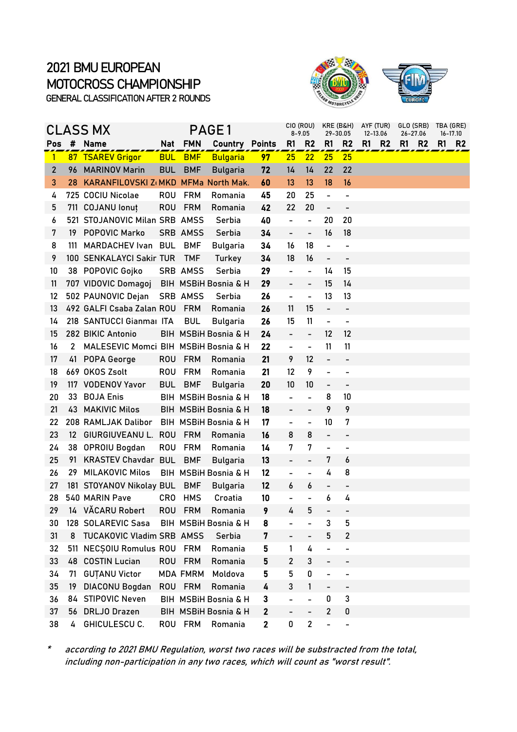

|              | CLASS MX |                                      | PAGE1      |                 |                                 |              | CIO (ROU)<br>KRE (B&H)<br>$8 - 9.05$<br>29-30.05 |                              |                              |                              | AYF (TUR)<br>12-13.06 | TBA (GRE)<br>$16 - 17.10$ |                                  |      |                |
|--------------|----------|--------------------------------------|------------|-----------------|---------------------------------|--------------|--------------------------------------------------|------------------------------|------------------------------|------------------------------|-----------------------|---------------------------|----------------------------------|------|----------------|
| Pos          | #        | <b>Name</b>                          |            | Nat FMN         | <b>Country Points</b>           |              | R1                                               | R <sub>2</sub>               | R1                           | R <sub>2</sub>               | R1                    | <b>R2</b>                 | 26-27.06<br>R1<br>R <sub>2</sub> | R1 I | R <sub>2</sub> |
| $\mathbf{1}$ |          | 87 TSAREV Grigor                     | <b>BUL</b> | <b>BMF</b>      | <b>Bulgaria</b>                 | 97           | 25                                               | 22                           | 25                           | 25                           |                       |                           |                                  |      |                |
| $\mathbf{2}$ | 96       | <b>MARINOV Marin</b>                 | <b>BUL</b> | <b>BMF</b>      | <b>Bulgaria</b>                 | 72           | 14                                               | 14                           | 22                           | 22                           |                       |                           |                                  |      |                |
| 3            | 28       | KARANFILOVSKI Z(MKD MFMa North Mak.  |            |                 |                                 | 60           | 13                                               | 13                           | 18                           | 16                           |                       |                           |                                  |      |                |
| 4            |          | 725 COCIU Nicolae                    | <b>ROU</b> | <b>FRM</b>      | Romania                         | 45           | 20                                               | 25                           | $\overline{\phantom{0}}$     | $\overline{\phantom{a}}$     |                       |                           |                                  |      |                |
| 5            |          | 711 COJANU lonut                     | <b>ROU</b> | <b>FRM</b>      | Romania                         | 42           | 22                                               | 20                           | $\overline{\phantom{0}}$     | $\qquad \qquad \blacksquare$ |                       |                           |                                  |      |                |
| 6            |          | 521 STOJANOVIC Milan SRB AMSS        |            |                 | Serbia                          | 40           | $\overline{\phantom{0}}$                         | $\qquad \qquad \blacksquare$ | 20                           | 20                           |                       |                           |                                  |      |                |
| 7            | 19.      | <b>POPOVIC Marko</b>                 |            | <b>SRB AMSS</b> | Serbia                          | 34           | $\blacksquare$                                   | $\overline{\phantom{0}}$     | 16                           | 18                           |                       |                           |                                  |      |                |
| 8            | 111      | MARDACHEV Ivan BUL                   |            | <b>BMF</b>      | <b>Bulgaria</b>                 | 34           | 16                                               | 18                           | $\frac{1}{2}$                | $\overline{a}$               |                       |                           |                                  |      |                |
| 9            |          | 100 SENKALAYCI Sakir TUR             |            | <b>TMF</b>      | Turkey                          | 34           | 18                                               | 16                           | $\qquad \qquad \blacksquare$ | $\overline{\phantom{a}}$     |                       |                           |                                  |      |                |
| 10           |          | 38 POPOVIC Gojko                     |            | SRB AMSS        | Serbia                          | 29           | $\overline{a}$                                   | $\overline{\phantom{0}}$     | 14                           | 15                           |                       |                           |                                  |      |                |
| 11           |          | 707 VIDOVIC Domagoj                  |            |                 | <b>BIH MSBIH Bosnia &amp; H</b> | 29           |                                                  | $\overline{\phantom{0}}$     | 15                           | 14                           |                       |                           |                                  |      |                |
| 12           |          | 502 PAUNOVIC Dejan                   |            | SRB AMSS        | Serbia                          | 26           | $\overline{\phantom{0}}$                         | $\qquad \qquad \blacksquare$ | 13                           | 13                           |                       |                           |                                  |      |                |
| 13           |          | 492 GALFI Csaba Zalan ROU            |            | <b>FRM</b>      | Romania                         | 26           | 11                                               | 15                           | $\overline{\phantom{0}}$     |                              |                       |                           |                                  |      |                |
| 14           |          | 218 SANTUCCI Gianmal ITA             |            | <b>BUL</b>      | <b>Bulgaria</b>                 | 26           | 15                                               | 11                           | $\overline{\phantom{a}}$     | $\qquad \qquad \blacksquare$ |                       |                           |                                  |      |                |
| 15           |          | 282 BIKIC Antonio                    |            |                 | BIH MSBiH Bosnia & H            | 24           | $\overline{\phantom{0}}$                         | $\overline{\phantom{0}}$     | $12 \overline{ }$            | 12                           |                       |                           |                                  |      |                |
| 16           | 2        | MALESEVIC Momci BIH MSBIH Bosnia & H |            |                 |                                 | 22           | $\overline{\phantom{0}}$                         | $\overline{a}$               | 11                           | 11                           |                       |                           |                                  |      |                |
| 17           | 41       | POPA George                          | <b>ROU</b> | <b>FRM</b>      | Romania                         | 21           | 9                                                | 12                           | $\overline{\phantom{0}}$     | $\overline{\phantom{0}}$     |                       |                           |                                  |      |                |
| 18           |          | 669 OKOS Zsolt                       | <b>ROU</b> | <b>FRM</b>      | Romania                         | 21           | $12 \overline{ }$                                | 9                            | -                            |                              |                       |                           |                                  |      |                |
| 19           |          | 117 VODENOV Yavor                    | <b>BUL</b> | <b>BMF</b>      | <b>Bulgaria</b>                 | 20           | 10                                               | 10                           | $\overline{\phantom{0}}$     | $\overline{\phantom{a}}$     |                       |                           |                                  |      |                |
| 20           | 33       | <b>BOJA Enis</b>                     |            |                 | BIH MSBIH Bosnia & H            | 18           | $\overline{a}$                                   | $\overline{a}$               | 8                            | 10                           |                       |                           |                                  |      |                |
| 21           | 43.      | <b>MAKIVIC Milos</b>                 |            |                 | BIH MSBiH Bosnia & H            | 18           | $\overline{\phantom{0}}$                         | $\overline{\phantom{0}}$     | 9                            | 9                            |                       |                           |                                  |      |                |
| 22           |          | 208 RAMLJAK Dalibor                  |            |                 | BIH MSBiH Bosnia & H            | 17           | -                                                | -                            | 10                           | 7                            |                       |                           |                                  |      |                |
| 23           | 12       | GIURGIUVEANU L.                      | <b>ROU</b> | <b>FRM</b>      | Romania                         | 16           | 8                                                | 8                            | $\overline{\phantom{0}}$     |                              |                       |                           |                                  |      |                |
| 24           |          | 38 OPROIU Bogdan                     | <b>ROU</b> | <b>FRM</b>      | Romania                         | 14           | 7                                                | 7                            | $\overline{\phantom{0}}$     | $\overline{\phantom{a}}$     |                       |                           |                                  |      |                |
| 25           | 91       | <b>KRASTEV Chavdar BUL</b>           |            | <b>BMF</b>      | <b>Bulgaria</b>                 | 13           |                                                  | -                            | 7                            | 6                            |                       |                           |                                  |      |                |
| 26           | 29       | <b>MILAKOVIC Milos</b>               |            |                 | BIH MSBIH Bosnia & H            | 12           | -                                                | $\overline{\phantom{0}}$     | 4                            | 8                            |                       |                           |                                  |      |                |
| 27           |          | 181 STOYANOV Nikolay BUL BMF         |            |                 | <b>Bulgaria</b>                 | 12           | 6                                                | 6                            | $\overline{\phantom{0}}$     |                              |                       |                           |                                  |      |                |
| 28           |          | 540 MARIN Pave                       | <b>CRO</b> | <b>HMS</b>      | Croatia                         | 10           | -                                                | $\overline{a}$               | 6                            | 4                            |                       |                           |                                  |      |                |
| 29           |          | 14 VĂCARU Robert                     |            | ROU FRM         | Romania                         | 9            | $\mathbf{r}$                                     | 5                            |                              |                              |                       |                           |                                  |      |                |
| 30           |          | 128 SOLAREVIC Sasa                   |            |                 | BIH MSBIH Bosnia & H            | 8            |                                                  |                              | 3                            | 5                            |                       |                           |                                  |      |                |
| 31           | 8        | TUCAKOVIC Vladim SRB AMSS            |            |                 | Serbia                          | 7            |                                                  | -                            | 5                            | 2                            |                       |                           |                                  |      |                |
| 32           |          | 511 NECSOIU Romulus ROU FRM          |            |                 | Romania                         | 5            | 1                                                | 4                            | -                            |                              |                       |                           |                                  |      |                |
| 33           | 48.      | <b>COSTIN Lucian</b>                 |            | ROU FRM         | Romania                         | 5            | 2                                                | 3                            | $\overline{\phantom{0}}$     |                              |                       |                           |                                  |      |                |
| 34           | 71       | <b>GUTANU Victor</b>                 |            | MDA FMRM        | Moldova                         | 5            | 5                                                | 0                            | -                            |                              |                       |                           |                                  |      |                |
| 35           | 19       | DIACONU Bogdan                       |            | ROU FRM         | Romania                         | 4            | 3                                                | 1                            | -                            |                              |                       |                           |                                  |      |                |
| 36           | 84       | <b>STIPOVIC Neven</b>                |            |                 | BIH MSBiH Bosnia & H            | 3            |                                                  | $\overline{\phantom{0}}$     | 0                            | 3                            |                       |                           |                                  |      |                |
| 37           | 56       | <b>DRLJO Drazen</b>                  |            |                 | BIH MSBiH Bosnia & H            | $\mathbf{2}$ |                                                  |                              | 2                            | 0                            |                       |                           |                                  |      |                |
| 38           | 4        | GHICULESCU C.                        |            | ROU FRM         | Romania                         | $\mathbf{2}$ | 0                                                | $\overline{2}$               | $\overline{\phantom{0}}$     | $\overline{\phantom{a}}$     |                       |                           |                                  |      |                |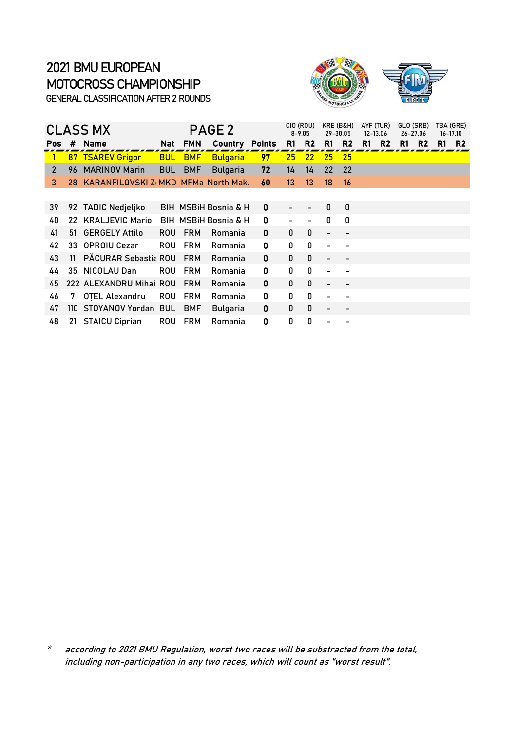

|              | <b>CLASS MX</b> |                                        |            | PAGE <sub>2</sub> |                       |    |                   |                   | CIO (ROU)<br>KRE (B&H)<br>$8 - 9.05$<br>29-30.05 |                |    | AYF (TUR)<br>12-13.06 |    | GLO (SRB)<br>26-27.06 |    | TBA (GRE)<br>16-17.10 |
|--------------|-----------------|----------------------------------------|------------|-------------------|-----------------------|----|-------------------|-------------------|--------------------------------------------------|----------------|----|-----------------------|----|-----------------------|----|-----------------------|
| Pos          | #               | Name                                   | Nat        | <b>FMN</b>        | <b>Country Points</b> |    | R1                | R <sub>2</sub>    | R1                                               | R <sub>2</sub> | R1 | R <sub>2</sub>        | R1 | R <sub>2</sub>        | R1 | R <sub>2</sub>        |
| $\mathbf{1}$ |                 | <b>87 TSAREV Grigor</b>                | <b>BUL</b> | <b>BMF</b>        | <b>Bulgaria</b>       | 97 | 25                | $22 \overline{ }$ | 25                                               | 25             |    |                       |    |                       |    |                       |
| 2            | 96              | <b>MARINOV Marin</b>                   | <b>BUL</b> | <b>BMF</b>        | <b>Bulgaria</b>       | 72 | 14                | 14                | 22                                               | 22             |    |                       |    |                       |    |                       |
| 3            |                 | 28 KARANFILOVSKI Z(MKD MFMa North Mak. |            |                   |                       | 60 | 13                | 13 <sup>°</sup>   | 18                                               | 16             |    |                       |    |                       |    |                       |
|              |                 |                                        |            |                   |                       |    |                   |                   |                                                  |                |    |                       |    |                       |    |                       |
| 39           |                 | 92 TADIC Nedjeljko                     |            |                   | BIH MSBIH Bosnia & H  | 0  | $\qquad \qquad -$ |                   | 0                                                | 0              |    |                       |    |                       |    |                       |
| 40           |                 | 22 KRALJEVIC Mario                     |            |                   | BIH MSBIH Bosnia & H  | 0  |                   |                   | 0                                                | 0              |    |                       |    |                       |    |                       |
| 41           |                 | 51 GERGELY Attilo                      | ROU.       | <b>FRM</b>        | Romania               | 0  | 0                 | 0                 | $\overline{\phantom{0}}$                         |                |    |                       |    |                       |    |                       |
| 42           |                 | 33 OPROIU Cezar                        | <b>ROU</b> | <b>FRM</b>        | Romania               | 0  | 0                 | 0                 |                                                  |                |    |                       |    |                       |    |                       |
| 43           | 11              | PĂCURAR Sebastia ROU                   |            | <b>FRM</b>        | Romania               | 0  | 0                 | 0                 |                                                  |                |    |                       |    |                       |    |                       |
| 44           |                 | 35 NICOLAU Dan                         | ROU        | <b>FRM</b>        | Romania               | 0  | 0                 | 0                 |                                                  |                |    |                       |    |                       |    |                       |
| 45           |                 | 222 ALEXANDRU Mihai ROU                |            | <b>FRM</b>        | Romania               | 0  | 0                 | 0                 |                                                  |                |    |                       |    |                       |    |                       |
| 46           | 7               | OTEL Alexandru                         | <b>ROU</b> | <b>FRM</b>        | Romania               | 0  | 0                 | 0                 |                                                  |                |    |                       |    |                       |    |                       |
| 47           |                 | 110 STOYANOV Yordan BUL                |            | <b>BMF</b>        | <b>Bulgaria</b>       | 0  | 0                 | 0                 |                                                  |                |    |                       |    |                       |    |                       |
| 48           |                 | 21 STAICU Ciprian                      | ROU        | <b>FRM</b>        | Romania               | 0  | 0                 | 0                 |                                                  |                |    |                       |    |                       |    |                       |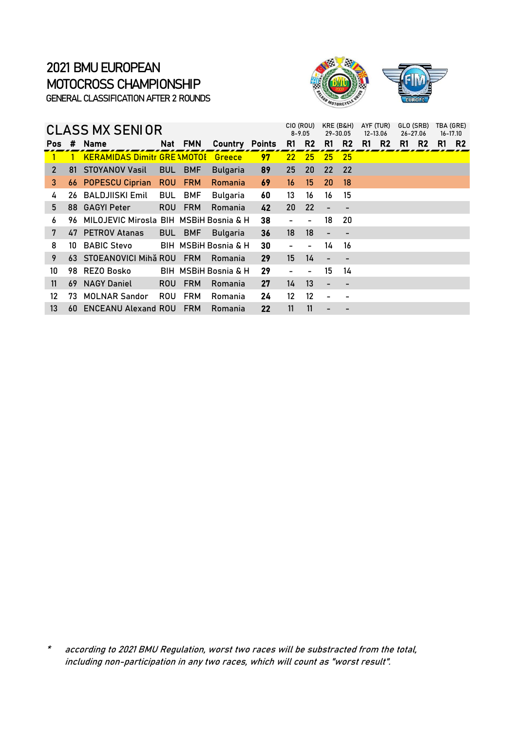

|     |     | CLASS MX SENIOR                        |            |            | CIO (ROU)<br>$8 - 9.05$         | KRE (B&H)<br>29-30.05 |                   | AYF (TUR)<br>12-13.06    |                          | GLO (SRB)<br>26-27.06 |    |                | TBA (GRE)<br>$16 - 17.10$ |                |    |                |
|-----|-----|----------------------------------------|------------|------------|---------------------------------|-----------------------|-------------------|--------------------------|--------------------------|-----------------------|----|----------------|---------------------------|----------------|----|----------------|
| Pos | #   | <b>Name</b>                            |            | Nat FMN    | <b>Country</b>                  | <b>Points</b>         | R <sub>1</sub>    | R2                       | R1                       | R <sub>2</sub>        | R1 | R <sub>2</sub> | R1                        | R <sub>2</sub> | R1 | R <sub>2</sub> |
|     |     | <b>KERAMIDAS Dimitr GRE AMOTOL</b>     |            |            | Greece                          | <u>97</u>             | 22 <sub>2</sub>   | 25                       | 25                       | $-25$                 |    |                |                           |                |    |                |
| 2   |     | 81 STOYANOV Vasil                      | <b>BUL</b> | <b>BMF</b> | <b>Bulgaria</b>                 | 89                    | 25                | 20                       | 22                       | -22                   |    |                |                           |                |    |                |
| 3   |     | <b>66 POPESCU Ciprian</b>              | <b>ROU</b> | <b>FRM</b> | <b>Romania</b>                  | 69                    | 16                | 15                       | 20                       | 18                    |    |                |                           |                |    |                |
| 4   | 26  | <b>BALDJIISKI Emil</b>                 | <b>BUL</b> | <b>BMF</b> | <b>Bulgaria</b>                 | 60                    | 13                | 16                       | 16                       | 15                    |    |                |                           |                |    |                |
| 5   |     | 88 GAGYI Peter                         | ROU.       | <b>FRM</b> | Romania                         | 42                    | 20 <sup>°</sup>   | 22                       |                          |                       |    |                |                           |                |    |                |
| 6   | 96. | MILOJEVIC Mirosla BIH MSBIH Bosnia & H |            |            |                                 | 38                    |                   | $\overline{\phantom{0}}$ | 18                       | 20                    |    |                |                           |                |    |                |
| 7   |     | 47 PETROV Atanas                       | <b>BUL</b> | <b>BMF</b> | <b>Bulgaria</b>                 | 36                    | 18                | 18                       |                          |                       |    |                |                           |                |    |                |
| 8   | 10  | <b>BABIC Stevo</b>                     |            |            | BIH MSBIH Bosnia & H            | 30                    |                   | $\overline{\phantom{0}}$ | 14                       | 16                    |    |                |                           |                |    |                |
| 9   |     | 63 STOEANOVICI Mihă ROU                |            | <b>FRM</b> | Romania                         | 29                    | 15 <sup>15</sup>  | 14                       | $\overline{\phantom{0}}$ |                       |    |                |                           |                |    |                |
| 10  |     | 98 REZO Bosko                          |            |            | <b>BIH MSBIH Bosnia &amp; H</b> | 29                    |                   | $\overline{\phantom{0}}$ | 15                       | 14                    |    |                |                           |                |    |                |
| 11  | 69  | <b>NAGY Daniel</b>                     | ROU.       | <b>FRM</b> | Romania                         | 27                    | 14                | 13                       | $\overline{\phantom{0}}$ |                       |    |                |                           |                |    |                |
| 12  | 73  | <b>MOLNAR Sandor</b>                   | <b>ROU</b> | <b>FRM</b> | Romania                         | 24                    | $12 \overline{ }$ | 12                       |                          |                       |    |                |                           |                |    |                |
| 13  | 60  | <b>ENCEANU Alexand ROU</b>             |            | <b>FRM</b> | Romania                         | 22                    | 11                | 11                       |                          |                       |    |                |                           |                |    |                |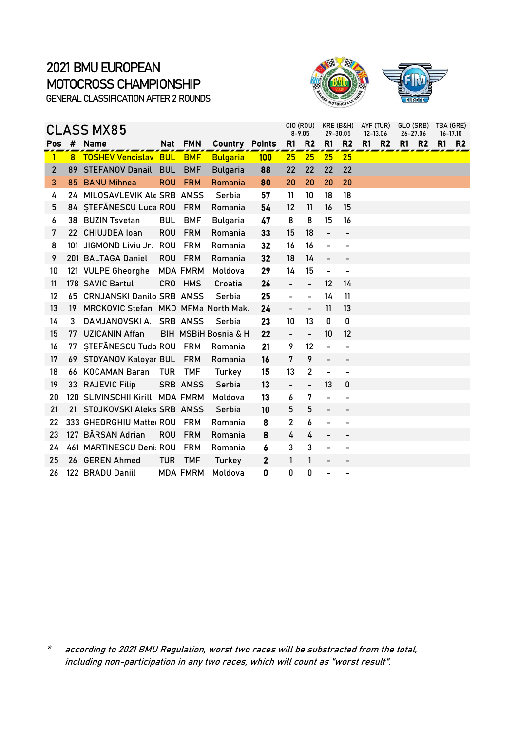

|              |    | <b>CLASS MX85</b>                   |            |                 | CIO (ROU)<br>$8 - 9.05$ | KRE (B&H)<br>29-30.05 |                              | AYF (TUR)<br>12-13.06    |                              | GLO (SRB)<br>26-27.06    |    |                | TBA (GRE)<br>16-17.10 |                |    |                |
|--------------|----|-------------------------------------|------------|-----------------|-------------------------|-----------------------|------------------------------|--------------------------|------------------------------|--------------------------|----|----------------|-----------------------|----------------|----|----------------|
| Pos          | #  | <b>Name</b>                         | Nat        | <b>FMN</b>      | Country                 | <b>Points</b>         | R1                           | R <sub>2</sub>           | R1                           | R <sub>2</sub>           | R1 | R <sub>2</sub> | R1                    | R <sub>2</sub> | R1 | R <sub>2</sub> |
| $\mathbf{1}$ |    | 8 TOSHEV Vencislav BUL              |            | <b>BMF</b>      | <b>Bulgaria</b>         | 100                   | 25                           | 25                       | 25                           | 25                       |    |                |                       |                |    |                |
| 2            |    | 89 STEFANOV Danail                  | <b>BUL</b> | <b>BMF</b>      | <b>Bulgaria</b>         | 88                    | 22                           | 22                       | 22                           | 22                       |    |                |                       |                |    |                |
| 3            | 85 | <b>BANU Mihnea</b>                  | <b>ROU</b> | <b>FRM</b>      | Romania                 | 80                    | 20                           | 20                       | 20                           | 20                       |    |                |                       |                |    |                |
| 4            |    | 24 MILOSAVLEVIK Ale SRB AMSS        |            |                 | Serbia                  | 57                    | 11                           | 10                       | 18                           | 18                       |    |                |                       |                |    |                |
| 5            |    | 84 STEFĂNESCU Luca ROU              |            | <b>FRM</b>      | Romania                 | 54                    | $12 \overline{ }$            | 11                       | 16                           | 15                       |    |                |                       |                |    |                |
| 6            |    | 38 BUZIN Tsvetan                    | <b>BUL</b> | <b>BMF</b>      | Bulgaria                | 47                    | 8                            | 8                        | 15                           | 16                       |    |                |                       |                |    |                |
| 7            |    | 22 CHIUJDEA loan                    | <b>ROU</b> | <b>FRM</b>      | Romania                 | 33                    | 15                           | 18                       | $\qquad \qquad \blacksquare$ | $\overline{\phantom{0}}$ |    |                |                       |                |    |                |
| 8            |    | 101 JIGMOND Liviu Jr.               | <b>ROU</b> | <b>FRM</b>      | Romania                 | 32                    | 16                           | 16                       |                              |                          |    |                |                       |                |    |                |
| 9            |    | 201 BALTAGA Daniel                  | <b>ROU</b> | <b>FRM</b>      | Romania                 | 32                    | 18                           | 14                       | $\blacksquare$               | $\overline{a}$           |    |                |                       |                |    |                |
| 10           |    | 121 VULPE Gheorghe                  |            | <b>MDA FMRM</b> | Moldova                 | 29                    | 14                           | 15                       | $\overline{\phantom{a}}$     | $\overline{a}$           |    |                |                       |                |    |                |
| 11           |    | 178 SAVIC Bartul                    |            | CRO HMS         | Croatia                 | 26                    |                              | $\overline{a}$           | 12                           | 14                       |    |                |                       |                |    |                |
| 12           | 65 | <b>CRNJANSKI Danilo SRB AMSS</b>    |            |                 | Serbia                  | 25                    | $\overline{a}$               | $\overline{\phantom{0}}$ | 14                           | 11                       |    |                |                       |                |    |                |
| 13           | 19 | MRCKOVIC Stefan MKD MFMa North Mak. |            |                 |                         | 24                    | $\overline{\phantom{0}}$     | $\overline{\phantom{0}}$ | 11                           | 13                       |    |                |                       |                |    |                |
| 14           | 3  | DAMJANOVSKI A.                      |            | <b>SRB AMSS</b> | Serbia                  | 23                    | 10                           | 13                       | 0                            | 0                        |    |                |                       |                |    |                |
| 15           | 77 | <b>UZICANIN Affan</b>               |            |                 | BIH MSBiH Bosnia & H    | 22                    | $\overline{\phantom{0}}$     | $\qquad \qquad -$        | 10                           | 12                       |    |                |                       |                |    |                |
| 16           |    | 77 STEFĂNESCU Tudo ROU FRM          |            |                 | Romania                 | 21                    | 9                            | 12                       | $\overline{a}$               |                          |    |                |                       |                |    |                |
| 17           |    | 69 STOYANOV Kaloyar BUL             |            | <b>FRM</b>      | Romania                 | 16                    | 7                            | 9                        |                              |                          |    |                |                       |                |    |                |
| 18           | 66 | <b>KOCAMAN Baran</b>                | <b>TUR</b> | <b>TMF</b>      | Turkey                  | 15                    | 13                           | $\overline{\mathbf{c}}$  |                              | $\overline{\phantom{0}}$ |    |                |                       |                |    |                |
| 19           |    | 33 RAJEVIC Filip                    |            | SRB AMSS        | Serbia                  | 13                    | $\qquad \qquad \blacksquare$ | $\overline{\phantom{0}}$ | 13                           | 0                        |    |                |                       |                |    |                |
| 20           |    | 120 SLIVINSCHII Kirill MDA FMRM     |            |                 | Moldova                 | 13                    | 6                            | 7                        | $\overline{\phantom{a}}$     |                          |    |                |                       |                |    |                |
| 21           |    | 21 STOJKOVSKI Aleks SRB AMSS        |            |                 | Serbia                  | 10                    | 5                            | 5                        | $\overline{\phantom{0}}$     | -                        |    |                |                       |                |    |                |
| 22           |    | 333 GHEORGHIU Matter ROU            |            | <b>FRM</b>      | Romania                 | 8                     | 2                            | 6                        |                              |                          |    |                |                       |                |    |                |
| 23           |    | 127 BÂRSAN Adrian                   | <b>ROU</b> | <b>FRM</b>      | Romania                 | 8                     | 4                            | 4                        |                              |                          |    |                |                       |                |    |                |
| 24           |    | 461 MARTINESCU Deni: ROU            |            | <b>FRM</b>      | Romania                 | 6                     | 3                            | 3                        |                              | $\overline{\phantom{0}}$ |    |                |                       |                |    |                |
| 25           |    | 26 GEREN Ahmed                      | <b>TUR</b> | <b>TMF</b>      | Turkey                  | $\mathbf{2}$          | 1                            | 1                        |                              |                          |    |                |                       |                |    |                |
| 26           |    | 122 BRADU Daniil                    |            | <b>MDA FMRM</b> | Moldova                 | 0                     | 0                            | 0                        |                              |                          |    |                |                       |                |    |                |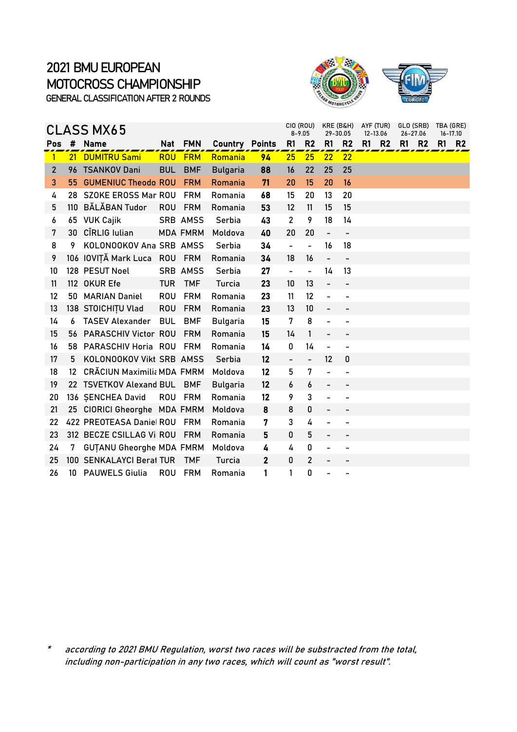

|                   |                 | <b>CLASS MX65</b>                 |            |                 | CIO (ROU)<br>$8 - 9.05$ | KRE (B&H)<br>29-30.05 |                              | AYF (TUR)<br>12-13.06    |                          | GLO (SRB)<br>26-27.06    |    |                | TBA (GRE)<br>$16 - 17.10$ |                |    |                |
|-------------------|-----------------|-----------------------------------|------------|-----------------|-------------------------|-----------------------|------------------------------|--------------------------|--------------------------|--------------------------|----|----------------|---------------------------|----------------|----|----------------|
| Pos               | #               | <b>Name</b>                       | Nat        | <b>FMN</b>      | <b>Country Points</b>   |                       | R1                           | R <sub>2</sub>           | R <sub>1</sub>           | R <sub>2</sub>           | R1 | R <sub>2</sub> | R1                        | R <sub>2</sub> | R1 | R <sub>2</sub> |
| 1                 | 21              | <b>DUMITRU Sami</b>               | <b>ROU</b> | <b>FRM</b>      | Romania                 | 94                    | 25                           | 25                       | 22                       | 22                       |    |                |                           |                |    |                |
| $\overline{2}$    |                 | 96 TSANKOV Dani                   | <b>BUL</b> | <b>BMF</b>      | <b>Bulgaria</b>         | 88                    | 16                           | 22                       | 25                       | 25                       |    |                |                           |                |    |                |
| 3                 |                 | 55 GUMENIUC Theodo ROU            |            | <b>FRM</b>      | Romania                 | 71                    | 20                           | 15                       | 20                       | 16                       |    |                |                           |                |    |                |
| 4                 |                 | 28 SZOKE EROSS Mar ROU            |            | <b>FRM</b>      | Romania                 | 68                    | 15                           | 20                       | 13                       | 20                       |    |                |                           |                |    |                |
| 5                 |                 | 110 BĂLĂBAN Tudor                 | <b>ROU</b> | <b>FRM</b>      | Romania                 | 53                    | $12 \overline{ }$            | 11                       | 15                       | 15                       |    |                |                           |                |    |                |
| 6                 | 65              | <b>VUK Cajik</b>                  |            | SRB AMSS        | Serbia                  | 43                    | 2                            | 9                        | 18                       | 14                       |    |                |                           |                |    |                |
| 7                 |                 | 30 CÎRLIG Iulian                  |            | <b>MDA FMRM</b> | Moldova                 | 40                    | 20                           | 20                       | $\overline{\phantom{0}}$ | $\overline{\phantom{0}}$ |    |                |                           |                |    |                |
| 8                 | 9               | KOLONOOKOV Ana SRB AMSS           |            |                 | Serbia                  | 34                    | $\frac{1}{2}$                | $\overline{a}$           | 16                       | 18                       |    |                |                           |                |    |                |
| 9                 |                 | 106 IOVITĂ Mark Luca              | <b>ROU</b> | <b>FRM</b>      | Romania                 | 34                    | 18                           | 16                       | $\overline{\phantom{0}}$ | $\overline{\phantom{0}}$ |    |                |                           |                |    |                |
| 10                |                 | 128 PESUT Noel                    |            | <b>SRB AMSS</b> | Serbia                  | 27                    | $\qquad \qquad \blacksquare$ | $\overline{\phantom{0}}$ | 14                       | 13                       |    |                |                           |                |    |                |
| 11                |                 | 112 OKUR Efe                      | <b>TUR</b> | <b>TMF</b>      | Turcia                  | 23                    | 10                           | 13                       | $\overline{\phantom{a}}$ |                          |    |                |                           |                |    |                |
| $12 \overline{ }$ | 50              | <b>MARIAN Daniel</b>              | <b>ROU</b> | <b>FRM</b>      | Romania                 | 23                    | 11                           | 12                       | $\overline{\phantom{0}}$ | $\overline{\phantom{0}}$ |    |                |                           |                |    |                |
| 13                |                 | 138 STOICHITU Vlad                | <b>ROU</b> | <b>FRM</b>      | Romania                 | 23                    | 13                           | 10                       |                          |                          |    |                |                           |                |    |                |
| 14                | 6               | <b>TASEV Alexander</b>            | <b>BUL</b> | <b>BMF</b>      | <b>Bulgaria</b>         | 15                    | 7                            | 8                        |                          |                          |    |                |                           |                |    |                |
| 15                |                 | 56 PARASCHIV Victor ROU           |            | <b>FRM</b>      | Romania                 | 15                    | 14                           | 1                        | $\overline{\phantom{a}}$ | -                        |    |                |                           |                |    |                |
| 16                |                 | 58 PARASCHIV Horia ROU            |            | <b>FRM</b>      | Romania                 | 14                    | 0                            | 14                       |                          |                          |    |                |                           |                |    |                |
| 17                | 5               | KOLONOOKOV Vikt SRB AMSS          |            |                 | Serbia                  | 12                    | $\overline{\phantom{0}}$     | $\overline{a}$           | 12                       | 0                        |    |                |                           |                |    |                |
| 18                | 12 <sup>2</sup> | <b>CRĂCIUN Maximilia MDA FMRM</b> |            |                 | Moldova                 | 12                    | 5                            | 7                        |                          |                          |    |                |                           |                |    |                |
| 19                |                 | 22 TSVETKOV Alexand BUL           |            | <b>BMF</b>      | <b>Bulgaria</b>         | 12                    | 6                            | 6                        |                          |                          |    |                |                           |                |    |                |
| 20                |                 | 136 SENCHEA David                 | <b>ROU</b> | <b>FRM</b>      | Romania                 | 12                    | 9                            | 3                        |                          | $\overline{a}$           |    |                |                           |                |    |                |
| 21                |                 | 25 CIORICI Gheorghe MDA FMRM      |            |                 | Moldova                 | 8                     | 8                            | 0                        |                          | -                        |    |                |                           |                |    |                |
| 22                |                 | 422 PREOTEASA Daniel ROU          |            | <b>FRM</b>      | Romania                 | 7                     | 3                            | 4                        |                          |                          |    |                |                           |                |    |                |
| 23                |                 | 312 BECZE CSILLAG Vi ROU          |            | <b>FRM</b>      | Romania                 | 5                     | 0                            | 5                        |                          | $\overline{\phantom{0}}$ |    |                |                           |                |    |                |
| 24                | 7               | <b>GUTANU Gheorghe MDA FMRM</b>   |            |                 | Moldova                 | 4                     | 4                            | 0                        |                          | $\overline{a}$           |    |                |                           |                |    |                |
| 25                |                 | 100 SENKALAYCI Berat TUR          |            | <b>TMF</b>      | Turcia                  | $\mathbf{2}$          | 0                            | $\overline{2}$           |                          |                          |    |                |                           |                |    |                |
| 26                |                 | 10 PAUWELS Giulia                 | ROU        | <b>FRM</b>      | Romania                 | 1                     | 1                            | 0                        |                          |                          |    |                |                           |                |    |                |